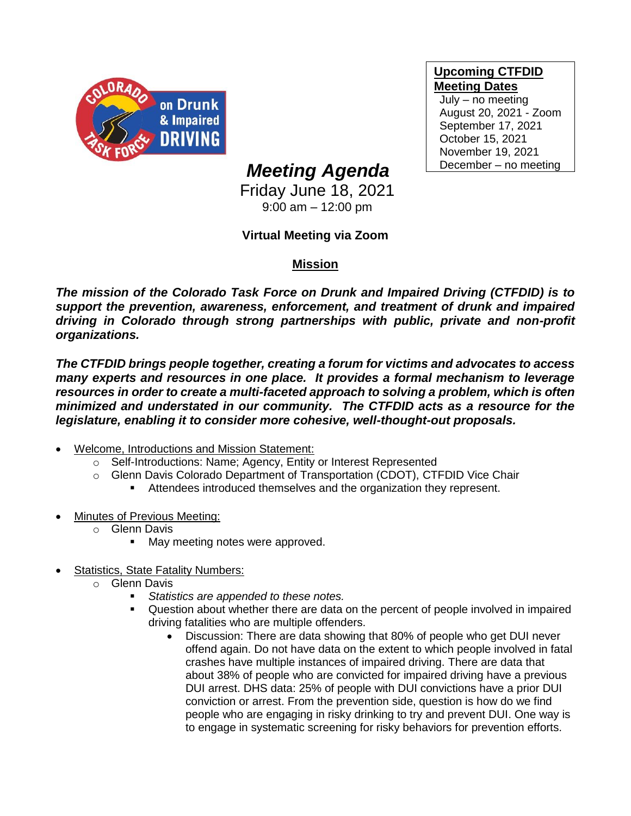

**Upcoming CTFDID Meeting Dates**

July – no meeting August 20, 2021 - Zoom September 17, 2021 October 15, 2021 November 19, 2021 December – no meeting

## *Meeting Agenda*

Friday June 18, 2021 9:00 am – 12:00 pm

## **Virtual Meeting via Zoom**

## **Mission**

*The mission of the Colorado Task Force on Drunk and Impaired Driving (CTFDID) is to support the prevention, awareness, enforcement, and treatment of drunk and impaired driving in Colorado through strong partnerships with public, private and non-profit organizations.* 

*The CTFDID brings people together, creating a forum for victims and advocates to access many experts and resources in one place. It provides a formal mechanism to leverage*  resources in order to create a multi-faceted approach to solving a problem, which is often *minimized and understated in our community. The CTFDID acts as a resource for the legislature, enabling it to consider more cohesive, well-thought-out proposals.* 

- Welcome, Introductions and Mission Statement:
	- o Self-Introductions: Name; Agency, Entity or Interest Represented
	- o Glenn Davis Colorado Department of Transportation (CDOT), CTFDID Vice Chair
		- Attendees introduced themselves and the organization they represent.
- Minutes of Previous Meeting:
	- o Glenn Davis
		- May meeting notes were approved.
- Statistics, State Fatality Numbers:
	- o Glenn Davis
		- Statistics are appended to these notes.
		- Question about whether there are data on the percent of people involved in impaired driving fatalities who are multiple offenders.
			- Discussion: There are data showing that 80% of people who get DUI never offend again. Do not have data on the extent to which people involved in fatal crashes have multiple instances of impaired driving. There are data that about 38% of people who are convicted for impaired driving have a previous DUI arrest. DHS data: 25% of people with DUI convictions have a prior DUI conviction or arrest. From the prevention side, question is how do we find people who are engaging in risky drinking to try and prevent DUI. One way is to engage in systematic screening for risky behaviors for prevention efforts.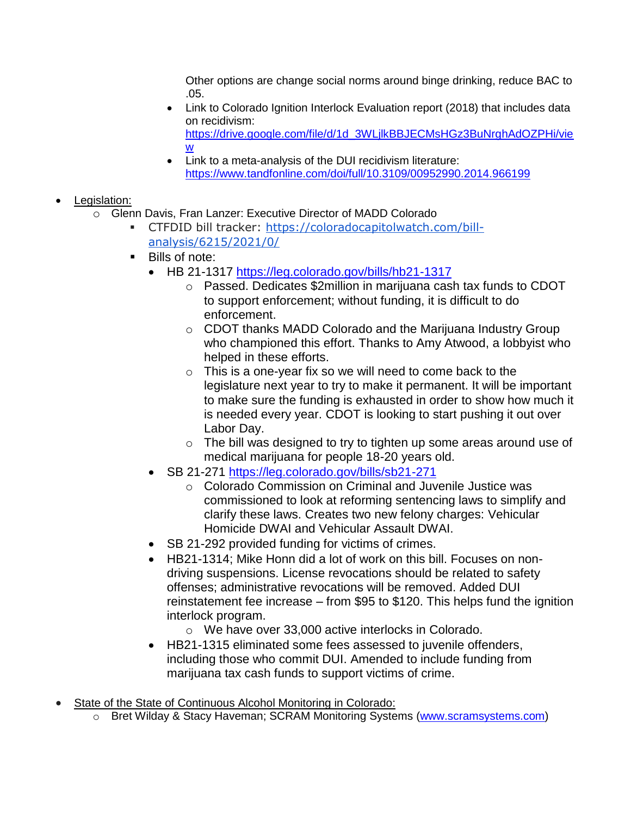Other options are change social norms around binge drinking, reduce BAC to .05.

- Link to Colorado Ignition Interlock Evaluation report (2018) that includes data on recidivism: [https://drive.google.com/file/d/1d\\_3WLjlkBBJECMsHGz3BuNrghAdOZPHi/vie](https://drive.google.com/file/d/1d_3WLjlkBBJECMsHGz3BuNrghAdOZPHi/view) [w](https://drive.google.com/file/d/1d_3WLjlkBBJECMsHGz3BuNrghAdOZPHi/view)
- Link to a meta-analysis of the DUI recidivism literature: <https://www.tandfonline.com/doi/full/10.3109/00952990.2014.966199>
- Legislation:
	- o Glenn Davis, Fran Lanzer: Executive Director of MADD Colorado
		- CTFDID bill tracker: [https://coloradocapitolwatch.com/bill](https://urldefense.com/v3/__https:/coloradocapitolwatch.com/bill-analysis/6215/2021/0/__;!!PUG2raq7KiCZwBk!IQrTk8HzA_jb86M4wO5o7uLZlLbtAhjgGXSVcdTU8l46hzmmnFjPFY751aa6Adr2KVl6ng$)[analysis/6215/2021/0/](https://urldefense.com/v3/__https:/coloradocapitolwatch.com/bill-analysis/6215/2021/0/__;!!PUG2raq7KiCZwBk!IQrTk8HzA_jb86M4wO5o7uLZlLbtAhjgGXSVcdTU8l46hzmmnFjPFY751aa6Adr2KVl6ng$)
		- Bills of note:
			- HB 21-1317<https://leg.colorado.gov/bills/hb21-1317>
				- o Passed. Dedicates \$2million in marijuana cash tax funds to CDOT to support enforcement; without funding, it is difficult to do enforcement.
				- o CDOT thanks MADD Colorado and the Marijuana Industry Group who championed this effort. Thanks to Amy Atwood, a lobbyist who helped in these efforts.
				- $\circ$  This is a one-year fix so we will need to come back to the legislature next year to try to make it permanent. It will be important to make sure the funding is exhausted in order to show how much it is needed every year. CDOT is looking to start pushing it out over Labor Day.
				- $\circ$  The bill was designed to try to tighten up some areas around use of medical marijuana for people 18-20 years old.
			- SB 21-271<https://leg.colorado.gov/bills/sb21-271>
				- o Colorado Commission on Criminal and Juvenile Justice was commissioned to look at reforming sentencing laws to simplify and clarify these laws. Creates two new felony charges: Vehicular Homicide DWAI and Vehicular Assault DWAI.
			- SB 21-292 provided funding for victims of crimes.
			- HB21-1314; Mike Honn did a lot of work on this bill. Focuses on nondriving suspensions. License revocations should be related to safety offenses; administrative revocations will be removed. Added DUI reinstatement fee increase – from \$95 to \$120. This helps fund the ignition interlock program.
				- o We have over 33,000 active interlocks in Colorado.
			- HB21-1315 eliminated some fees assessed to juvenile offenders, including those who commit DUI. Amended to include funding from marijuana tax cash funds to support victims of crime.
- State of the State of Continuous Alcohol Monitoring in Colorado:
	- o Bret Wilday & Stacy Haveman; SCRAM Monitoring Systems [\(www.scramsystems.com\)](http://www.scramsystems.com/)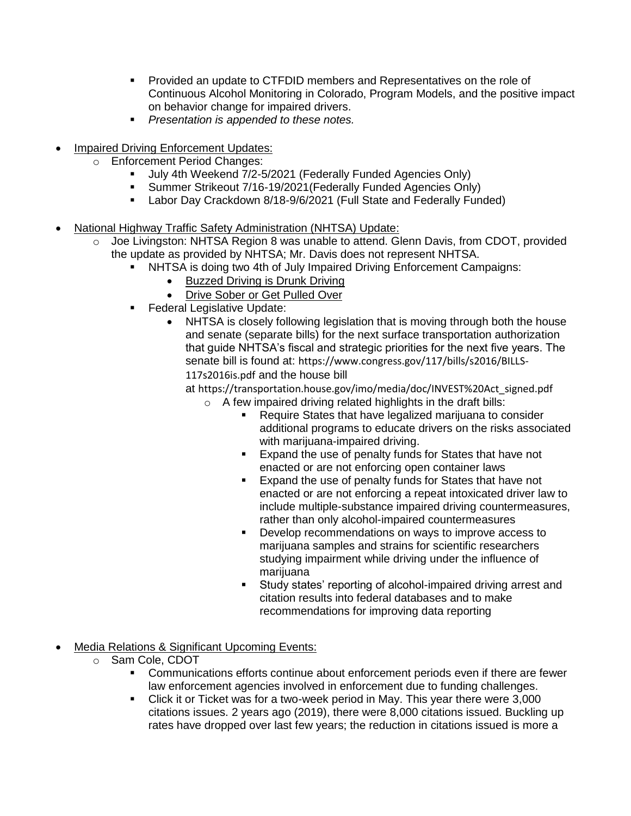- Provided an update to CTFDID members and Representatives on the role of Continuous Alcohol Monitoring in Colorado, Program Models, and the positive impact on behavior change for impaired drivers.
- *Presentation is appended to these notes.*
- Impaired Driving Enforcement Updates:
	- o Enforcement Period Changes:
		- July 4th Weekend 7/2-5/2021 (Federally Funded Agencies Only)<br>■ Summer Strikeout 7/16-19/2021 (Federally Funded Agencies Only
		- Summer Strikeout 7/16-19/2021 (Federally Funded Agencies Only)
		- **EXECT:** Labor Day Crackdown 8/18-9/6/2021 (Full State and Federally Funded)
- National Highway Traffic Safety Administration (NHTSA) Update:
	- o Joe Livingston: NHTSA Region 8 was unable to attend. Glenn Davis, from CDOT, provided the update as provided by NHTSA; Mr. Davis does not represent NHTSA.
		- NHTSA is doing two 4th of July Impaired Driving Enforcement Campaigns:
			- [Buzzed Driving is Drunk Driving](https://urldefense.com/v3/__https:/www.trafficsafetymarketing.gov/get-materials/drunk-driving/buzzed-driving-drunk-driving/4th-july-buzzed-driving__;!!PUG2raq7KiCZwBk!MWfGg3fWefeNQYtXZuOsR20gFh0NrO3tcVtxl8Y1oN0T-U8-jCi1ph0aiPU5dzSKIOEn$)
			- [Drive Sober or Get Pulled Over](https://urldefense.com/v3/__https:/www.trafficsafetymarketing.gov/get-materials/drunk-driving/drive-sober-or-get-pulled-over/4th-july-drive-sober__;!!PUG2raq7KiCZwBk!MWfGg3fWefeNQYtXZuOsR20gFh0NrO3tcVtxl8Y1oN0T-U8-jCi1ph0aiPU5d1vxZn6H$)
		- **•** Federal Legislative Update:
			- NHTSA is closely following legislation that is moving through both the house and senate (separate bills) for the next surface transportation authorization that guide NHTSA's fiscal and strategic priorities for the next five years. The senate bill is found at: [https://www.congress.gov/117/bills/s2016/BILLS-](https://urldefense.com/v3/__https:/www.congress.gov/117/bills/s2016/BILLS-117s2016is.pdf__;!!PUG2raq7KiCZwBk!MWfGg3fWefeNQYtXZuOsR20gFh0NrO3tcVtxl8Y1oN0T-U8-jCi1ph0aiPU5d0dpUkFh$)[117s2016is.pdf](https://urldefense.com/v3/__https:/www.congress.gov/117/bills/s2016/BILLS-117s2016is.pdf__;!!PUG2raq7KiCZwBk!MWfGg3fWefeNQYtXZuOsR20gFh0NrO3tcVtxl8Y1oN0T-U8-jCi1ph0aiPU5d0dpUkFh$) and the house bill

at [https://transportation.house.gov/imo/media/doc/INVEST%20Act\\_signed.pdf](https://urldefense.com/v3/__https:/gcc02.safelinks.protection.outlook.com/?url=https*3A*2F*2Ftransportation.house.gov*2Fimo*2Fmedia*2Fdoc*2FINVEST*2520Act_signed.pdf&data=04*7C01*7Cjoseph.livingston*40dot.gov*7C4df8995ac63a4fcb8d1b08d929cedcf2*7Cc4cd245b44f04395a1aa3848d258f78b*7C0*7C0*7C637586790714976340*7CUnknown*7CTWFpbGZsb3d8eyJWIjoiMC4wLjAwMDAiLCJQIjoiV2luMzIiLCJBTiI6Ik1haWwiLCJXVCI6Mn0*3D*7C1000&sdata=WfQP9P0OGD*2ByvlG8YF64p86cqODjqnZIngHwzxPJdS0*3D&reserved=0__;JSUlJSUlJSUlJSUlJSUlJSUlJSUlJQ!!PUG2raq7KiCZwBk!MWfGg3fWefeNQYtXZuOsR20gFh0NrO3tcVtxl8Y1oN0T-U8-jCi1ph0aiPU5d0mHcpec$)

- o A few impaired driving related highlights in the draft bills:
	- Require States that have legalized marijuana to consider additional programs to educate drivers on the risks associated with marijuana-impaired driving.
	- **Expand the use of penalty funds for States that have not** enacted or are not enforcing open container laws
	- Expand the use of penalty funds for States that have not enacted or are not enforcing a repeat intoxicated driver law to include multiple-substance impaired driving countermeasures, rather than only alcohol-impaired countermeasures
	- Develop recommendations on ways to improve access to marijuana samples and strains for scientific researchers studying impairment while driving under the influence of marijuana
	- Study states' reporting of alcohol-impaired driving arrest and citation results into federal databases and to make recommendations for improving data reporting
- Media Relations & Significant Upcoming Events:
	- o Sam Cole, CDOT
		- **EXECOMMUNICATEDE EXECTS** CONTINUE about enforcement periods even if there are fewer law enforcement agencies involved in enforcement due to funding challenges.
		- Click it or Ticket was for a two-week period in May. This year there were 3,000 citations issues. 2 years ago (2019), there were 8,000 citations issued. Buckling up rates have dropped over last few years; the reduction in citations issued is more a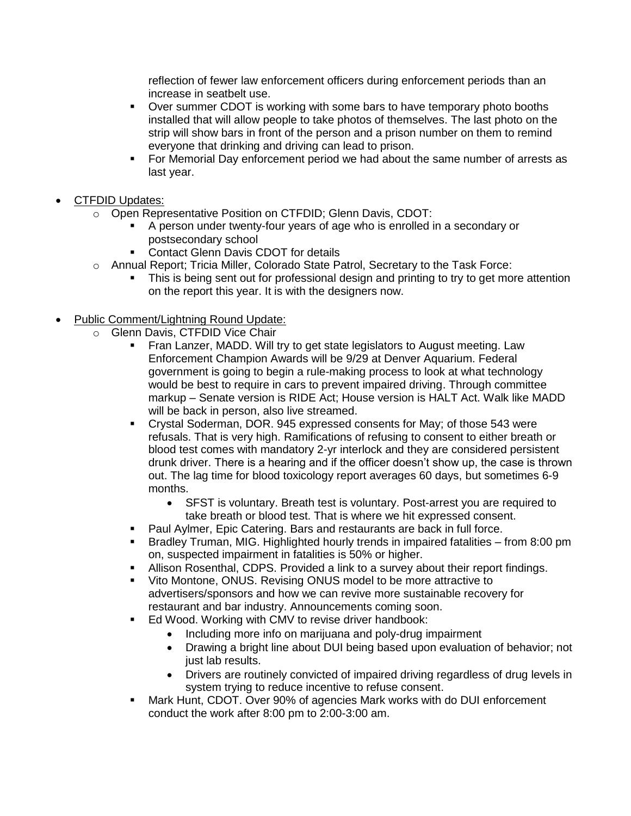reflection of fewer law enforcement officers during enforcement periods than an increase in seatbelt use.

- Over summer CDOT is working with some bars to have temporary photo booths installed that will allow people to take photos of themselves. The last photo on the strip will show bars in front of the person and a prison number on them to remind everyone that drinking and driving can lead to prison.
- For Memorial Day enforcement period we had about the same number of arrests as last year.
- CTFDID Updates:
	- o Open Representative Position on CTFDID; Glenn Davis, CDOT:
		- A person under twenty-four years of age who is enrolled in a secondary or postsecondary school
		- **Contact Glenn Davis CDOT for details**
	- o Annual Report; Tricia Miller, Colorado State Patrol, Secretary to the Task Force:
		- This is being sent out for professional design and printing to try to get more attention on the report this year. It is with the designers now.
- Public Comment/Lightning Round Update:
	- o Glenn Davis, CTFDID Vice Chair
		- Fran Lanzer, MADD. Will try to get state legislators to August meeting. Law Enforcement Champion Awards will be 9/29 at Denver Aquarium. Federal government is going to begin a rule-making process to look at what technology would be best to require in cars to prevent impaired driving. Through committee markup – Senate version is RIDE Act; House version is HALT Act. Walk like MADD will be back in person, also live streamed.
		- Crystal Soderman, DOR. 945 expressed consents for May; of those 543 were refusals. That is very high. Ramifications of refusing to consent to either breath or blood test comes with mandatory 2-yr interlock and they are considered persistent drunk driver. There is a hearing and if the officer doesn't show up, the case is thrown out. The lag time for blood toxicology report averages 60 days, but sometimes 6-9 months.
			- SFST is voluntary. Breath test is voluntary. Post-arrest you are required to take breath or blood test. That is where we hit expressed consent.
		- Paul Aylmer, Epic Catering. Bars and restaurants are back in full force.
		- Bradley Truman, MIG. Highlighted hourly trends in impaired fatalities from 8:00 pm on, suspected impairment in fatalities is 50% or higher.
		- Allison Rosenthal, CDPS. Provided a link to a survey about their report findings.
		- Vito Montone, ONUS. Revising ONUS model to be more attractive to advertisers/sponsors and how we can revive more sustainable recovery for restaurant and bar industry. Announcements coming soon.
		- Ed Wood. Working with CMV to revise driver handbook:
			- Including more info on marijuana and poly-drug impairment
			- Drawing a bright line about DUI being based upon evaluation of behavior; not just lab results.
			- Drivers are routinely convicted of impaired driving regardless of drug levels in system trying to reduce incentive to refuse consent.
		- **■** Mark Hunt, CDOT. Over 90% of agencies Mark works with do DUI enforcement conduct the work after 8:00 pm to 2:00-3:00 am.